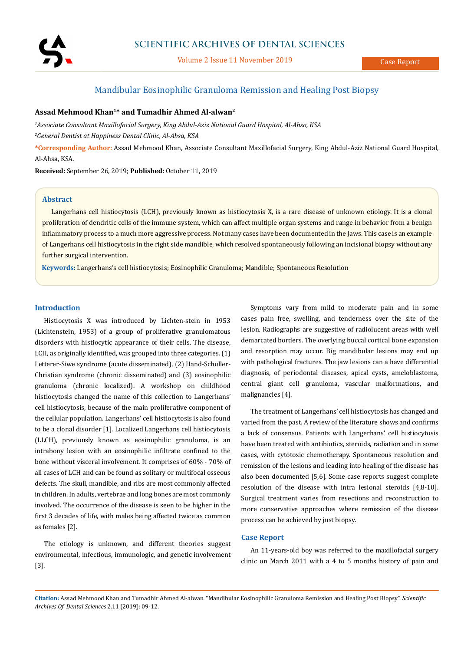

Volume 2 Issue 11 November 2019

# Mandibular Eosinophilic Granuloma Remission and Healing Post Biopsy

# **Assad Mehmood Khan1\* and Tumadhir Ahmed Al-alwan2**

*1 Associate Consultant Maxillofacial Surgery, King Abdul-Aziz National Guard Hospital, Al-Ahsa, KSA*

*2 General Dentist at Happiness Dental Clinic, Al-Ahsa, KSA*

**\*Corresponding Author:** Assad Mehmood Khan, Associate Consultant Maxillofacial Surgery, King Abdul-Aziz National Guard Hospital, Al-Ahsa, KSA.

**Received:** September 26, 2019; **Published:** October 11, 2019

## **Abstract**

Langerhans cell histiocytosis (LCH), previously known as histiocytosis X, is a rare disease of unknown etiology. It is a clonal proliferation of dendritic cells of the immune system, which can affect multiple organ systems and range in behavior from a benign inflammatory process to a much more aggressive process. Not many cases have been documented in the Jaws. This case is an example of Langerhans cell histiocytosis in the right side mandible, which resolved spontaneously following an incisional biopsy without any further surgical intervention.

**Keywords:** Langerhans's cell histiocytosis; Eosinophilic Granuloma; Mandible; Spontaneous Resolution

#### **Introduction**

Histiocytosis X was introduced by Lichten-stein in 1953 (Lichtenstein, 1953) of a group of proliferative granulomatous disorders with histiocytic appearance of their cells. The disease, LCH, as originally identified, was grouped into three categories. (1) Letterer-Siwe syndrome (acute disseminated), (2) Hand-Schuller-Christian syndrome (chronic disseminated) and (3) eosinophilic granuloma (chronic localized). A workshop on childhood histiocytosis changed the name of this collection to Langerhans' cell histiocytosis, because of the main proliferative component of the cellular population. Langerhans' cell histiocytosis is also found to be a clonal disorder [1]. Localized Langerhans cell histiocytosis (LLCH), previously known as eosinophilic granuloma, is an intrabony lesion with an eosinophilic infiltrate confined to the bone without visceral involvement. It comprises of 60% - 70% of all cases of LCH and can be found as solitary or multifocal osseous defects. The skull, mandible, and ribs are most commonly affected in children. In adults, vertebrae and long bones are most commonly involved. The occurrence of the disease is seen to be higher in the first 3 decades of life, with males being affected twice as common as females [2].

The etiology is unknown, and different theories suggest environmental, infectious, immunologic, and genetic involvement [3].

Symptoms vary from mild to moderate pain and in some cases pain free, swelling, and tenderness over the site of the lesion. Radiographs are suggestive of radiolucent areas with well demarcated borders. The overlying buccal cortical bone expansion and resorption may occur. Big mandibular lesions may end up with pathological fractures. The jaw lesions can a have differential diagnosis, of periodontal diseases, apical cysts, ameloblastoma, central giant cell granuloma, vascular malformations, and malignancies [4].

The treatment of Langerhans' cell histiocytosis has changed and varied from the past. A review of the literature shows and confirms a lack of consensus. Patients with Langerhans' cell histiocytosis have been treated with antibiotics, steroids, radiation and in some cases, with cytotoxic chemotherapy. Spontaneous resolution and remission of the lesions and leading into healing of the disease has also been documented [5,6]. Some case reports suggest complete resolution of the disease with intra lesional steroids [4,8-10]. Surgical treatment varies from resections and reconstruction to more conservative approaches where remission of the disease process can be achieved by just biopsy.

# **Case Report**

An 11-years-old boy was referred to the maxillofacial surgery clinic on March 2011 with a 4 to 5 months history of pain and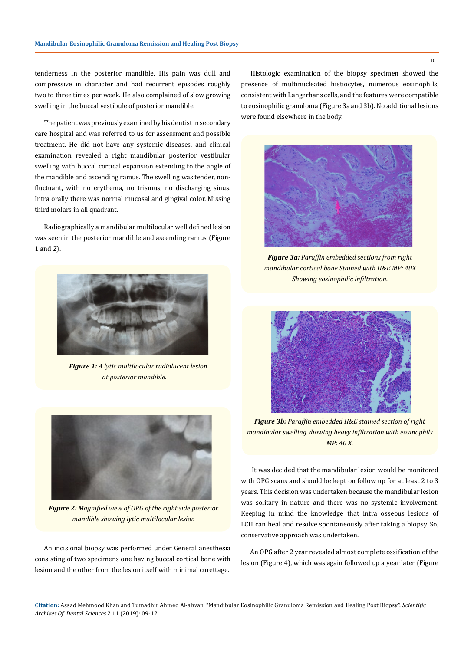tenderness in the posterior mandible. His pain was dull and compressive in character and had recurrent episodes roughly two to three times per week. He also complained of slow growing swelling in the buccal vestibule of posterior mandible.

The patient was previously examined by his dentist in secondary care hospital and was referred to us for assessment and possible treatment. He did not have any systemic diseases, and clinical examination revealed a right mandibular posterior vestibular swelling with buccal cortical expansion extending to the angle of the mandible and ascending ramus. The swelling was tender, nonfluctuant, with no erythema, no trismus, no discharging sinus. Intra orally there was normal mucosal and gingival color. Missing third molars in all quadrant.

Radiographically a mandibular multilocular well defined lesion was seen in the posterior mandible and ascending ramus (Figure 1 and 2).



*Figure 1: A lytic multilocular radiolucent lesion at posterior mandible.*



*Figure 2: Magnified view of OPG of the right side posterior mandible showing lytic multilocular lesion*

An incisional biopsy was performed under General anesthesia consisting of two specimens one having buccal cortical bone with lesion and the other from the lesion itself with minimal curettage.

Histologic examination of the biopsy specimen showed the presence of multinucleated histiocytes, numerous eosinophils, consistent with Langerhans cells, and the features were compatible to eosinophilic granuloma (Figure 3a and 3b). No additional lesions were found elsewhere in the body.



*Figure 3a: Paraffin embedded sections from right mandibular cortical bone Stained with H&E MP: 40X Showing eosinophilic infiltration.*



*Figure 3b: Paraffin embedded H&E stained section of right mandibular swelling showing heavy infiltration with eosinophils MP: 40 X.*

 It was decided that the mandibular lesion would be monitored with OPG scans and should be kept on follow up for at least 2 to 3 years. This decision was undertaken because the mandibular lesion was solitary in nature and there was no systemic involvement. Keeping in mind the knowledge that intra osseous lesions of LCH can heal and resolve spontaneously after taking a biopsy. So, conservative approach was undertaken.

An OPG after 2 year revealed almost complete ossification of the lesion (Figure 4), which was again followed up a year later (Figure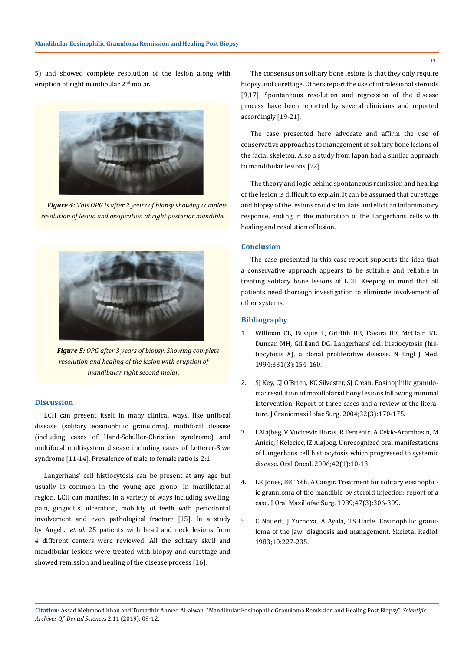5) and showed complete resolution of the lesion along with eruption of right mandibular 2nd molar.



*Figure 4: This OPG is after 2 years of biopsy showing complete resolution of lesion and ossification at right posterior mandible.*



*Figure 5: OPG after 3 years of biopsy. Showing complete resolution and healing of the lesion with eruption of mandibular right second molar.*

### **Discussion**

LCH can present itself in many clinical ways, like unifocal disease (solitary eosinophilic granuloma), multifocal disease (including cases of Hand-Schuller-Christian syndrome) and multifocal multisystem disease including cases of Letterer-Siwe syndrome [11-14]. Prevalence of male to female ratio is 2:1.

Langerhans' cell histiocytosis can be present at any age but usually is common in the young age group. In maxillofacial region, LCH can manifest in a variety of ways including swelling, pain, gingivitis, ulceration, mobility of teeth with periodontal involvement and even pathological fracture [15]. In a study by Angeli., *et al.* 25 patients with head and neck lesions from 4 different centers were reviewed. All the solitary skull and mandibular lesions were treated with biopsy and curettage and showed remission and healing of the disease process [16].

The consensus on solitary bone lesions is that they only require biopsy and curettage. Others report the use of intralesional steroids [9,17]. Spontaneous resolution and regression of the disease process have been reported by several clinicians and reported accordingly [19-21].

The case presented here advocate and affirm the use of conservative approaches to management of solitary bone lesions of the facial skeleton. Also a study from Japan had a similar approach to mandibular lesions [22].

The theory and logic behind spontaneous remission and healing of the lesion is difficult to explain. It can be assumed that curettage and biopsy of the lesions could stimulate and elicit an inflammatory response, ending in the maturation of the Langerhans cells with healing and resolution of lesion.

### **Conclusion**

The case presented in this case report supports the idea that a conservative approach appears to be suitable and reliable in treating solitary bone lesions of LCH. Keeping in mind that all patients need thorough investigation to eliminate involvement of other systems.

## **Bibliography**

- 1. [Willman CL, Busque L, Griffith BB, Favara BE, McClain KL,](https://www.ncbi.nlm.nih.gov/pubmed/8008029)  [Duncan MH, Gilliland DG. Langerhans' cell histiocytosis \(his](https://www.ncbi.nlm.nih.gov/pubmed/8008029)[tiocytosis X\), a clonal proliferative disease. N Engl J Med.](https://www.ncbi.nlm.nih.gov/pubmed/8008029)  [1994;331\(3\):154-160.](https://www.ncbi.nlm.nih.gov/pubmed/8008029)
- 2. [SJ Key, CJ O'Brien, KC Silvester, SJ Crean. Eosinophilic granulo](https://www.ncbi.nlm.nih.gov/pubmed/15113576)[ma: resolution of maxillofacial bony lesions following minimal](https://www.ncbi.nlm.nih.gov/pubmed/15113576)  [intervention: Report of three cases and a review of the litera](https://www.ncbi.nlm.nih.gov/pubmed/15113576)[ture. J Craniomaxillofac Surg. 2004;32\(3\):170-175.](https://www.ncbi.nlm.nih.gov/pubmed/15113576)
- 3. [I Alajbeg, V Vucicevic Boras, R Femenic, A Cekic-Arambasin, M](https://www.sciencedirect.com/science/article/pii/S1741940905000683)  [Anicic, J Kelecicc, IZ Alajbeg. Unrecognized oral manifestations](https://www.sciencedirect.com/science/article/pii/S1741940905000683)  [of Langerhans cell histiocytosis which progressed to systemic](https://www.sciencedirect.com/science/article/pii/S1741940905000683)  [disease. Oral Oncol. 2006;42\(1\):10-13.](https://www.sciencedirect.com/science/article/pii/S1741940905000683)
- 4. [LR Jones, BB Toth, A Cangir. Treatment for solitary eosinophil](https://www.ncbi.nlm.nih.gov/pubmed/2921663)[ic granuloma of the mandible by steroid injection: report of a](https://www.ncbi.nlm.nih.gov/pubmed/2921663)  [case. J Oral Maxillofac Surg. 1989;47\(3\):306-309.](https://www.ncbi.nlm.nih.gov/pubmed/2921663)
- 5. C Nauert, J Zornoza, A Ayala, TS Harle. Eosinophilic granuloma of the jaw: diagnosis and management. Skeletal Radiol. 1983;10:227-235.